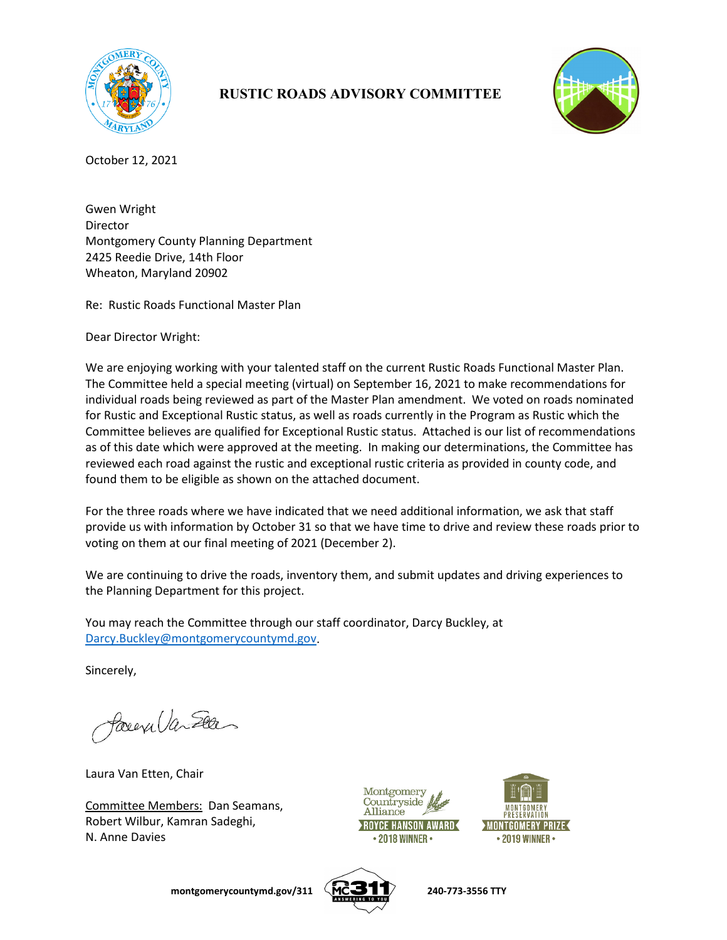

## **RUSTIC ROADS ADVISORY COMMITTEE**



October 12, 2021

Gwen Wright Director Montgomery County Planning Department 2425 Reedie Drive, 14th Floor Wheaton, Maryland 20902

Re: Rustic Roads Functional Master Plan

Dear Director Wright:

We are enjoying working with your talented staff on the current Rustic Roads Functional Master Plan. The Committee held a special meeting (virtual) on September 16, 2021 to make recommendations for individual roads being reviewed as part of the Master Plan amendment. We voted on roads nominated for Rustic and Exceptional Rustic status, as well as roads currently in the Program as Rustic which the Committee believes are qualified for Exceptional Rustic status. Attached is our list of recommendations as of this date which were approved at the meeting. In making our determinations, the Committee has reviewed each road against the rustic and exceptional rustic criteria as provided in county code, and found them to be eligible as shown on the attached document.

For the three roads where we have indicated that we need additional information, we ask that staff provide us with information by October 31 so that we have time to drive and review these roads prior to voting on them at our final meeting of 2021 (December 2).

We are continuing to drive the roads, inventory them, and submit updates and driving experiences to the Planning Department for this project.

You may reach the Committee through our staff coordinator, Darcy Buckley, at [Darcy.Buckley@montgomerycountymd.gov.](mailto:Darcy.Buckley@montgomerycountymd.gov)

Sincerely,

Parexilan Elles

Laura Van Etten, Chair

Committee Members: Dan Seamans, Robert Wilbur, Kamran Sadeghi, N. Anne Davies





**montgomerycountymd.gov/311**  $\left\langle \overrightarrow{MC} \right\rangle$  240-773-3556 TTY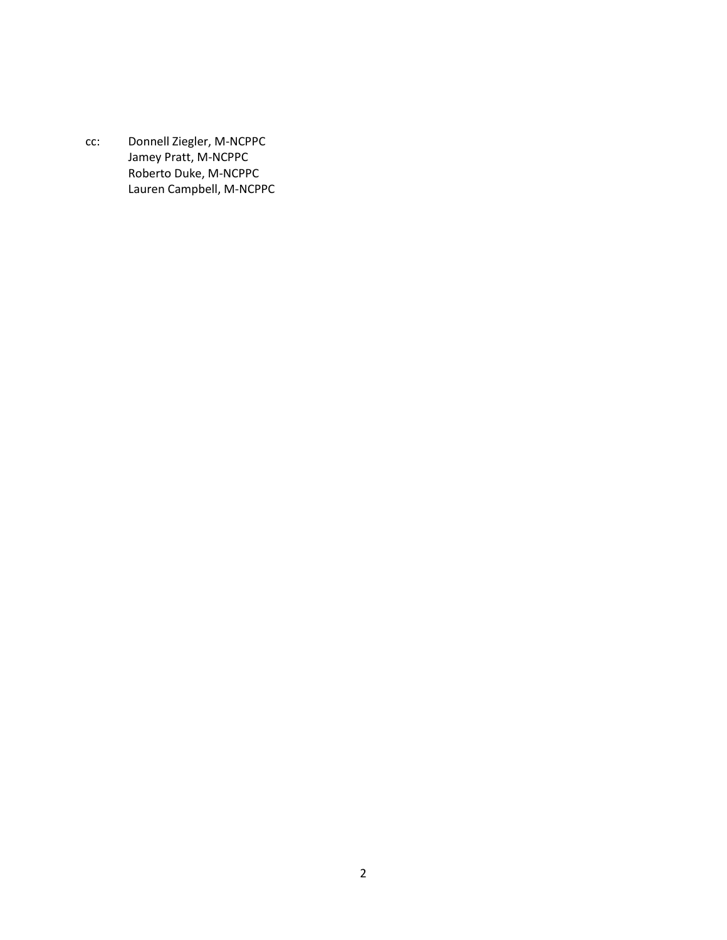cc: Donnell Ziegler, M-NCPPC Jamey Pratt, M-NCPPC Roberto Duke, M-NCPPC Lauren Campbell, M-NCPPC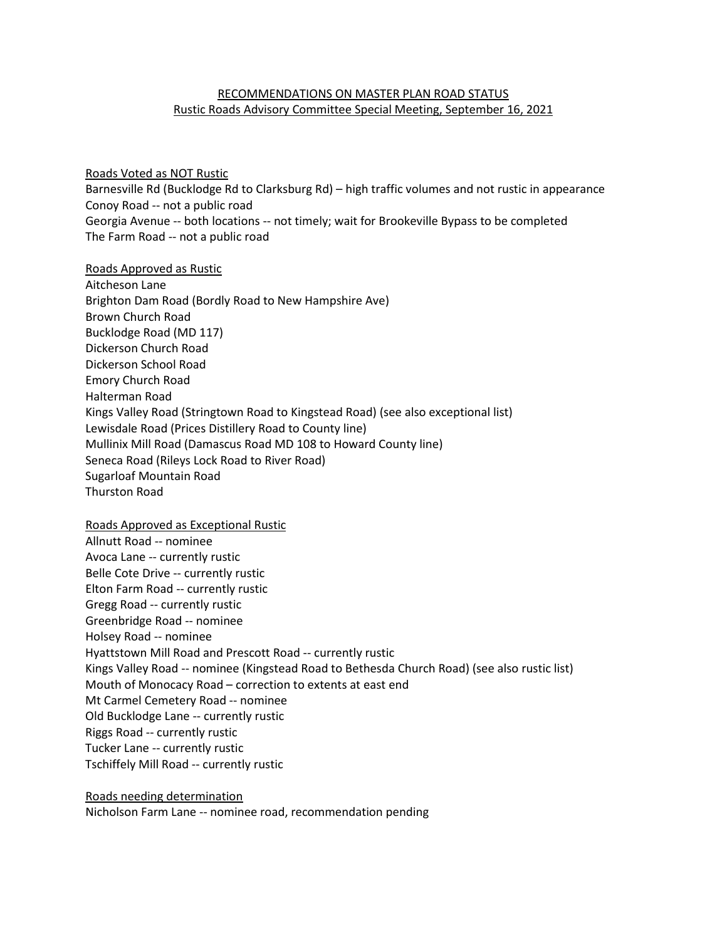## RECOMMENDATIONS ON MASTER PLAN ROAD STATUS Rustic Roads Advisory Committee Special Meeting, September 16, 2021

Roads Voted as NOT Rustic Barnesville Rd (Bucklodge Rd to Clarksburg Rd) – high traffic volumes and not rustic in appearance Conoy Road -- not a public road Georgia Avenue -- both locations -- not timely; wait for Brookeville Bypass to be completed The Farm Road -- not a public road

Roads Approved as Rustic Aitcheson Lane Brighton Dam Road (Bordly Road to New Hampshire Ave) Brown Church Road Bucklodge Road (MD 117) Dickerson Church Road Dickerson School Road Emory Church Road Halterman Road Kings Valley Road (Stringtown Road to Kingstead Road) (see also exceptional list) Lewisdale Road (Prices Distillery Road to County line) Mullinix Mill Road (Damascus Road MD 108 to Howard County line) Seneca Road (Rileys Lock Road to River Road) Sugarloaf Mountain Road Thurston Road

Roads Approved as Exceptional Rustic Allnutt Road -- nominee Avoca Lane -- currently rustic Belle Cote Drive -- currently rustic Elton Farm Road -- currently rustic Gregg Road -- currently rustic Greenbridge Road -- nominee Holsey Road -- nominee Hyattstown Mill Road and Prescott Road -- currently rustic Kings Valley Road -- nominee (Kingstead Road to Bethesda Church Road) (see also rustic list) Mouth of Monocacy Road – correction to extents at east end Mt Carmel Cemetery Road -- nominee Old Bucklodge Lane -- currently rustic Riggs Road -- currently rustic Tucker Lane -- currently rustic Tschiffely Mill Road -- currently rustic

Roads needing determination Nicholson Farm Lane -- nominee road, recommendation pending